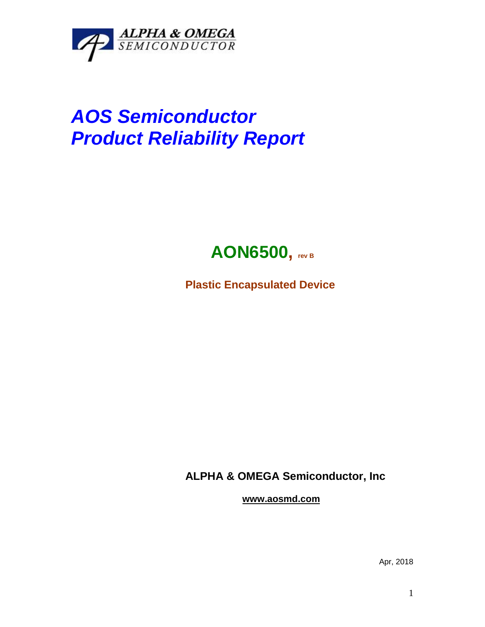

## *AOS Semiconductor Product Reliability Report*



**Plastic Encapsulated Device**

**ALPHA & OMEGA Semiconductor, Inc**

**www.aosmd.com**

Apr, 2018